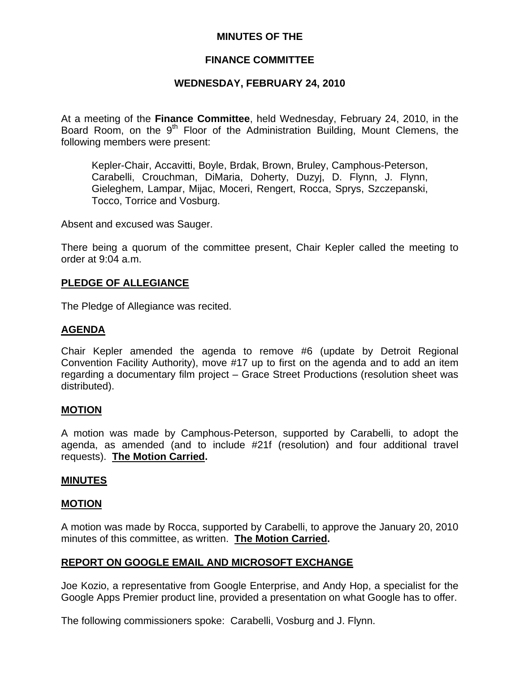# **MINUTES OF THE**

# **FINANCE COMMITTEE**

# **WEDNESDAY, FEBRUARY 24, 2010**

At a meeting of the **Finance Committee**, held Wednesday, February 24, 2010, in the Board Room, on the 9<sup>th</sup> Floor of the Administration Building, Mount Clemens, the following members were present:

Kepler-Chair, Accavitti, Boyle, Brdak, Brown, Bruley, Camphous-Peterson, Carabelli, Crouchman, DiMaria, Doherty, Duzyj, D. Flynn, J. Flynn, Gieleghem, Lampar, Mijac, Moceri, Rengert, Rocca, Sprys, Szczepanski, Tocco, Torrice and Vosburg.

Absent and excused was Sauger.

There being a quorum of the committee present, Chair Kepler called the meeting to order at 9:04 a.m.

# **PLEDGE OF ALLEGIANCE**

The Pledge of Allegiance was recited.

# **AGENDA**

Chair Kepler amended the agenda to remove #6 (update by Detroit Regional Convention Facility Authority), move #17 up to first on the agenda and to add an item regarding a documentary film project – Grace Street Productions (resolution sheet was distributed).

### **MOTION**

A motion was made by Camphous-Peterson, supported by Carabelli, to adopt the agenda, as amended (and to include #21f (resolution) and four additional travel requests). **The Motion Carried.** 

### **MINUTES**

### **MOTION**

A motion was made by Rocca, supported by Carabelli, to approve the January 20, 2010 minutes of this committee, as written. **The Motion Carried.** 

### **REPORT ON GOOGLE EMAIL AND MICROSOFT EXCHANGE**

Joe Kozio, a representative from Google Enterprise, and Andy Hop, a specialist for the Google Apps Premier product line, provided a presentation on what Google has to offer.

The following commissioners spoke: Carabelli, Vosburg and J. Flynn.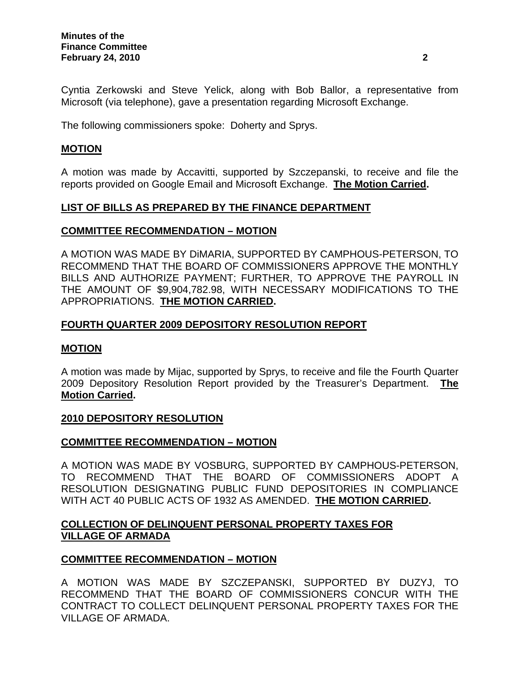Cyntia Zerkowski and Steve Yelick, along with Bob Ballor, a representative from Microsoft (via telephone), gave a presentation regarding Microsoft Exchange.

The following commissioners spoke: Doherty and Sprys.

# **MOTION**

A motion was made by Accavitti, supported by Szczepanski, to receive and file the reports provided on Google Email and Microsoft Exchange. **The Motion Carried.** 

# **LIST OF BILLS AS PREPARED BY THE FINANCE DEPARTMENT**

### **COMMITTEE RECOMMENDATION – MOTION**

A MOTION WAS MADE BY DiMARIA, SUPPORTED BY CAMPHOUS-PETERSON, TO RECOMMEND THAT THE BOARD OF COMMISSIONERS APPROVE THE MONTHLY BILLS AND AUTHORIZE PAYMENT; FURTHER, TO APPROVE THE PAYROLL IN THE AMOUNT OF \$9,904,782.98, WITH NECESSARY MODIFICATIONS TO THE APPROPRIATIONS. **THE MOTION CARRIED.** 

# **FOURTH QUARTER 2009 DEPOSITORY RESOLUTION REPORT**

### **MOTION**

A motion was made by Mijac, supported by Sprys, to receive and file the Fourth Quarter 2009 Depository Resolution Report provided by the Treasurer's Department. **The Motion Carried.** 

### **2010 DEPOSITORY RESOLUTION**

### **COMMITTEE RECOMMENDATION – MOTION**

A MOTION WAS MADE BY VOSBURG, SUPPORTED BY CAMPHOUS-PETERSON, TO RECOMMEND THAT THE BOARD OF COMMISSIONERS ADOPT A RESOLUTION DESIGNATING PUBLIC FUND DEPOSITORIES IN COMPLIANCE WITH ACT 40 PUBLIC ACTS OF 1932 AS AMENDED. **THE MOTION CARRIED.** 

# **COLLECTION OF DELINQUENT PERSONAL PROPERTY TAXES FOR VILLAGE OF ARMADA**

# **COMMITTEE RECOMMENDATION – MOTION**

A MOTION WAS MADE BY SZCZEPANSKI, SUPPORTED BY DUZYJ, TO RECOMMEND THAT THE BOARD OF COMMISSIONERS CONCUR WITH THE CONTRACT TO COLLECT DELINQUENT PERSONAL PROPERTY TAXES FOR THE VILLAGE OF ARMADA.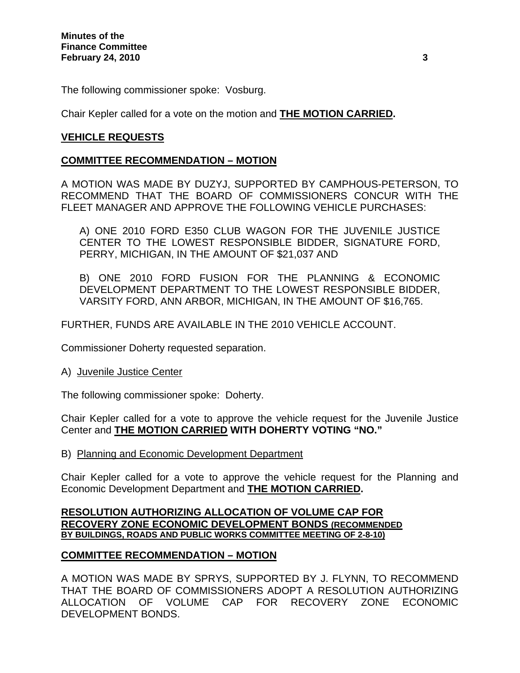The following commissioner spoke: Vosburg.

Chair Kepler called for a vote on the motion and **THE MOTION CARRIED.** 

# **VEHICLE REQUESTS**

# **COMMITTEE RECOMMENDATION – MOTION**

A MOTION WAS MADE BY DUZYJ, SUPPORTED BY CAMPHOUS-PETERSON, TO RECOMMEND THAT THE BOARD OF COMMISSIONERS CONCUR WITH THE FLEET MANAGER AND APPROVE THE FOLLOWING VEHICLE PURCHASES:

A) ONE 2010 FORD E350 CLUB WAGON FOR THE JUVENILE JUSTICE CENTER TO THE LOWEST RESPONSIBLE BIDDER, SIGNATURE FORD, PERRY, MICHIGAN, IN THE AMOUNT OF \$21,037 AND

B) ONE 2010 FORD FUSION FOR THE PLANNING & ECONOMIC DEVELOPMENT DEPARTMENT TO THE LOWEST RESPONSIBLE BIDDER, VARSITY FORD, ANN ARBOR, MICHIGAN, IN THE AMOUNT OF \$16,765.

FURTHER, FUNDS ARE AVAILABLE IN THE 2010 VEHICLE ACCOUNT.

Commissioner Doherty requested separation.

### A) Juvenile Justice Center

The following commissioner spoke: Doherty.

Chair Kepler called for a vote to approve the vehicle request for the Juvenile Justice Center and **THE MOTION CARRIED WITH DOHERTY VOTING "NO."** 

B) Planning and Economic Development Department

Chair Kepler called for a vote to approve the vehicle request for the Planning and Economic Development Department and **THE MOTION CARRIED.**

### **RESOLUTION AUTHORIZING ALLOCATION OF VOLUME CAP FOR RECOVERY ZONE ECONOMIC DEVELOPMENT BONDS (RECOMMENDED BY BUILDINGS, ROADS AND PUBLIC WORKS COMMITTEE MEETING OF 2-8-10)**

# **COMMITTEE RECOMMENDATION – MOTION**

A MOTION WAS MADE BY SPRYS, SUPPORTED BY J. FLYNN, TO RECOMMEND THAT THE BOARD OF COMMISSIONERS ADOPT A RESOLUTION AUTHORIZING ALLOCATION OF VOLUME CAP FOR RECOVERY ZONE ECONOMIC DEVELOPMENT BONDS.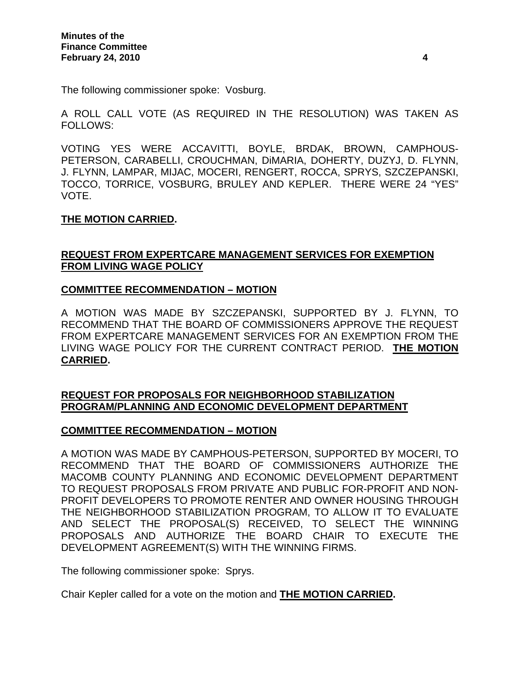The following commissioner spoke: Vosburg.

A ROLL CALL VOTE (AS REQUIRED IN THE RESOLUTION) WAS TAKEN AS FOLLOWS:

VOTING YES WERE ACCAVITTI, BOYLE, BRDAK, BROWN, CAMPHOUS-PETERSON, CARABELLI, CROUCHMAN, DiMARIA, DOHERTY, DUZYJ, D. FLYNN, J. FLYNN, LAMPAR, MIJAC, MOCERI, RENGERT, ROCCA, SPRYS, SZCZEPANSKI, TOCCO, TORRICE, VOSBURG, BRULEY AND KEPLER. THERE WERE 24 "YES" VOTE.

# **THE MOTION CARRIED.**

# **REQUEST FROM EXPERTCARE MANAGEMENT SERVICES FOR EXEMPTION FROM LIVING WAGE POLICY**

# **COMMITTEE RECOMMENDATION – MOTION**

A MOTION WAS MADE BY SZCZEPANSKI, SUPPORTED BY J. FLYNN, TO RECOMMEND THAT THE BOARD OF COMMISSIONERS APPROVE THE REQUEST FROM EXPERTCARE MANAGEMENT SERVICES FOR AN EXEMPTION FROM THE LIVING WAGE POLICY FOR THE CURRENT CONTRACT PERIOD. **THE MOTION CARRIED.** 

# **REQUEST FOR PROPOSALS FOR NEIGHBORHOOD STABILIZATION PROGRAM/PLANNING AND ECONOMIC DEVELOPMENT DEPARTMENT**

### **COMMITTEE RECOMMENDATION – MOTION**

A MOTION WAS MADE BY CAMPHOUS-PETERSON, SUPPORTED BY MOCERI, TO RECOMMEND THAT THE BOARD OF COMMISSIONERS AUTHORIZE THE MACOMB COUNTY PLANNING AND ECONOMIC DEVELOPMENT DEPARTMENT TO REQUEST PROPOSALS FROM PRIVATE AND PUBLIC FOR-PROFIT AND NON-PROFIT DEVELOPERS TO PROMOTE RENTER AND OWNER HOUSING THROUGH THE NEIGHBORHOOD STABILIZATION PROGRAM, TO ALLOW IT TO EVALUATE AND SELECT THE PROPOSAL(S) RECEIVED, TO SELECT THE WINNING PROPOSALS AND AUTHORIZE THE BOARD CHAIR TO EXECUTE THE DEVELOPMENT AGREEMENT(S) WITH THE WINNING FIRMS.

The following commissioner spoke: Sprys.

Chair Kepler called for a vote on the motion and **THE MOTION CARRIED.**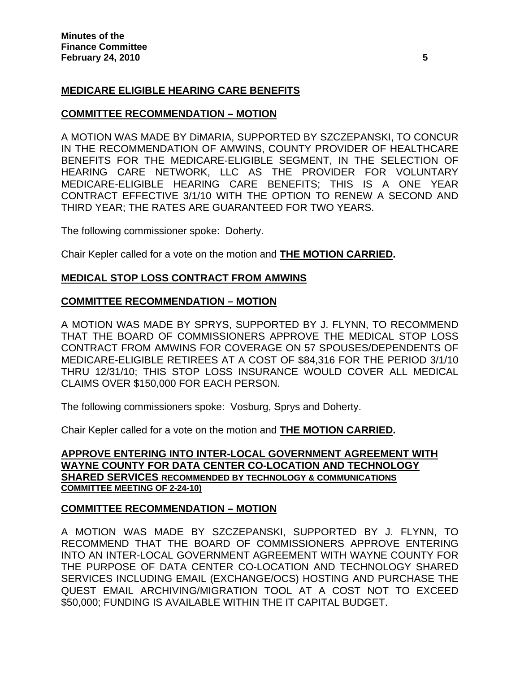# **MEDICARE ELIGIBLE HEARING CARE BENEFITS**

# **COMMITTEE RECOMMENDATION – MOTION**

A MOTION WAS MADE BY DiMARIA, SUPPORTED BY SZCZEPANSKI, TO CONCUR IN THE RECOMMENDATION OF AMWINS, COUNTY PROVIDER OF HEALTHCARE BENEFITS FOR THE MEDICARE-ELIGIBLE SEGMENT, IN THE SELECTION OF HEARING CARE NETWORK, LLC AS THE PROVIDER FOR VOLUNTARY MEDICARE-ELIGIBLE HEARING CARE BENEFITS; THIS IS A ONE YEAR CONTRACT EFFECTIVE 3/1/10 WITH THE OPTION TO RENEW A SECOND AND THIRD YEAR; THE RATES ARE GUARANTEED FOR TWO YEARS.

The following commissioner spoke: Doherty.

Chair Kepler called for a vote on the motion and **THE MOTION CARRIED.** 

# **MEDICAL STOP LOSS CONTRACT FROM AMWINS**

### **COMMITTEE RECOMMENDATION – MOTION**

A MOTION WAS MADE BY SPRYS, SUPPORTED BY J. FLYNN, TO RECOMMEND THAT THE BOARD OF COMMISSIONERS APPROVE THE MEDICAL STOP LOSS CONTRACT FROM AMWINS FOR COVERAGE ON 57 SPOUSES/DEPENDENTS OF MEDICARE-ELIGIBLE RETIREES AT A COST OF \$84,316 FOR THE PERIOD 3/1/10 THRU 12/31/10; THIS STOP LOSS INSURANCE WOULD COVER ALL MEDICAL CLAIMS OVER \$150,000 FOR EACH PERSON.

The following commissioners spoke: Vosburg, Sprys and Doherty.

Chair Kepler called for a vote on the motion and **THE MOTION CARRIED.** 

# **APPROVE ENTERING INTO INTER-LOCAL GOVERNMENT AGREEMENT WITH WAYNE COUNTY FOR DATA CENTER CO-LOCATION AND TECHNOLOGY SHARED SERVICES RECOMMENDED BY TECHNOLOGY & COMMUNICATIONS COMMITTEE MEETING OF 2-24-10)**

# **COMMITTEE RECOMMENDATION – MOTION**

A MOTION WAS MADE BY SZCZEPANSKI, SUPPORTED BY J. FLYNN, TO RECOMMEND THAT THE BOARD OF COMMISSIONERS APPROVE ENTERING INTO AN INTER-LOCAL GOVERNMENT AGREEMENT WITH WAYNE COUNTY FOR THE PURPOSE OF DATA CENTER CO-LOCATION AND TECHNOLOGY SHARED SERVICES INCLUDING EMAIL (EXCHANGE/OCS) HOSTING AND PURCHASE THE QUEST EMAIL ARCHIVING/MIGRATION TOOL AT A COST NOT TO EXCEED \$50,000; FUNDING IS AVAILABLE WITHIN THE IT CAPITAL BUDGET.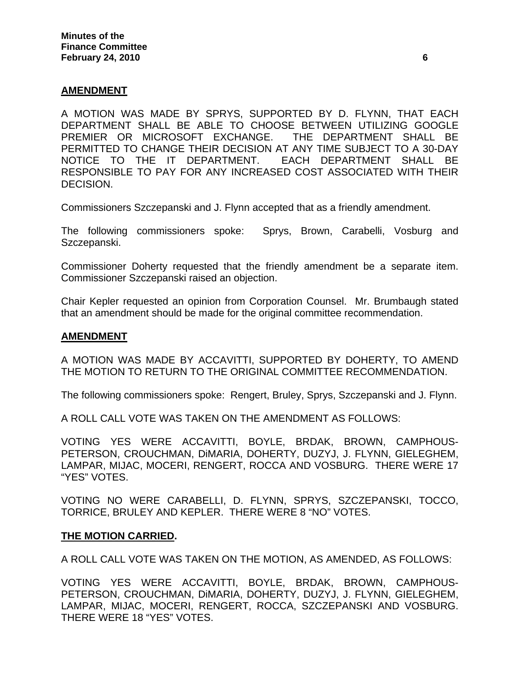# **AMENDMENT**

A MOTION WAS MADE BY SPRYS, SUPPORTED BY D. FLYNN, THAT EACH DEPARTMENT SHALL BE ABLE TO CHOOSE BETWEEN UTILIZING GOOGLE PREMIER OR MICROSOFT EXCHANGE. THE DEPARTMENT SHALL BE PERMITTED TO CHANGE THEIR DECISION AT ANY TIME SUBJECT TO A 30-DAY NOTICE TO THE IT DEPARTMENT. EACH DEPARTMENT SHALL BE RESPONSIBLE TO PAY FOR ANY INCREASED COST ASSOCIATED WITH THEIR DECISION.

Commissioners Szczepanski and J. Flynn accepted that as a friendly amendment.

The following commissioners spoke: Sprys, Brown, Carabelli, Vosburg and Szczepanski.

Commissioner Doherty requested that the friendly amendment be a separate item. Commissioner Szczepanski raised an objection.

Chair Kepler requested an opinion from Corporation Counsel. Mr. Brumbaugh stated that an amendment should be made for the original committee recommendation.

### **AMENDMENT**

A MOTION WAS MADE BY ACCAVITTI, SUPPORTED BY DOHERTY, TO AMEND THE MOTION TO RETURN TO THE ORIGINAL COMMITTEE RECOMMENDATION.

The following commissioners spoke: Rengert, Bruley, Sprys, Szczepanski and J. Flynn.

A ROLL CALL VOTE WAS TAKEN ON THE AMENDMENT AS FOLLOWS:

VOTING YES WERE ACCAVITTI, BOYLE, BRDAK, BROWN, CAMPHOUS-PETERSON, CROUCHMAN, DiMARIA, DOHERTY, DUZYJ, J. FLYNN, GIELEGHEM, LAMPAR, MIJAC, MOCERI, RENGERT, ROCCA AND VOSBURG. THERE WERE 17 "YES" VOTES.

VOTING NO WERE CARABELLI, D. FLYNN, SPRYS, SZCZEPANSKI, TOCCO, TORRICE, BRULEY AND KEPLER. THERE WERE 8 "NO" VOTES.

#### **THE MOTION CARRIED.**

A ROLL CALL VOTE WAS TAKEN ON THE MOTION, AS AMENDED, AS FOLLOWS:

VOTING YES WERE ACCAVITTI, BOYLE, BRDAK, BROWN, CAMPHOUS-PETERSON, CROUCHMAN, DiMARIA, DOHERTY, DUZYJ, J. FLYNN, GIELEGHEM, LAMPAR, MIJAC, MOCERI, RENGERT, ROCCA, SZCZEPANSKI AND VOSBURG. THERE WERE 18 "YES" VOTES.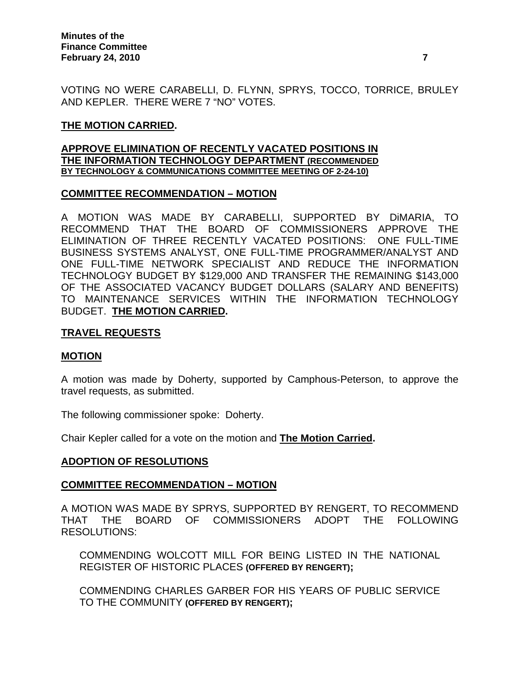VOTING NO WERE CARABELLI, D. FLYNN, SPRYS, TOCCO, TORRICE, BRULEY AND KEPLER. THERE WERE 7 "NO" VOTES.

# **THE MOTION CARRIED.**

#### **APPROVE ELIMINATION OF RECENTLY VACATED POSITIONS IN THE INFORMATION TECHNOLOGY DEPARTMENT (RECOMMENDED BY TECHNOLOGY & COMMUNICATIONS COMMITTEE MEETING OF 2-24-10)**

# **COMMITTEE RECOMMENDATION – MOTION**

A MOTION WAS MADE BY CARABELLI, SUPPORTED BY DiMARIA, TO RECOMMEND THAT THE BOARD OF COMMISSIONERS APPROVE THE ELIMINATION OF THREE RECENTLY VACATED POSITIONS: ONE FULL-TIME BUSINESS SYSTEMS ANALYST, ONE FULL-TIME PROGRAMMER/ANALYST AND ONE FULL-TIME NETWORK SPECIALIST AND REDUCE THE INFORMATION TECHNOLOGY BUDGET BY \$129,000 AND TRANSFER THE REMAINING \$143,000 OF THE ASSOCIATED VACANCY BUDGET DOLLARS (SALARY AND BENEFITS) TO MAINTENANCE SERVICES WITHIN THE INFORMATION TECHNOLOGY BUDGET. **THE MOTION CARRIED.** 

# **TRAVEL REQUESTS**

# **MOTION**

A motion was made by Doherty, supported by Camphous-Peterson, to approve the travel requests, as submitted.

The following commissioner spoke: Doherty.

Chair Kepler called for a vote on the motion and **The Motion Carried.** 

# **ADOPTION OF RESOLUTIONS**

### **COMMITTEE RECOMMENDATION – MOTION**

A MOTION WAS MADE BY SPRYS, SUPPORTED BY RENGERT, TO RECOMMEND THAT THE BOARD OF COMMISSIONERS ADOPT THE FOLLOWING RESOLUTIONS:

COMMENDING WOLCOTT MILL FOR BEING LISTED IN THE NATIONAL REGISTER OF HISTORIC PLACES **(OFFERED BY RENGERT);** 

COMMENDING CHARLES GARBER FOR HIS YEARS OF PUBLIC SERVICE TO THE COMMUNITY **(OFFERED BY RENGERT);**